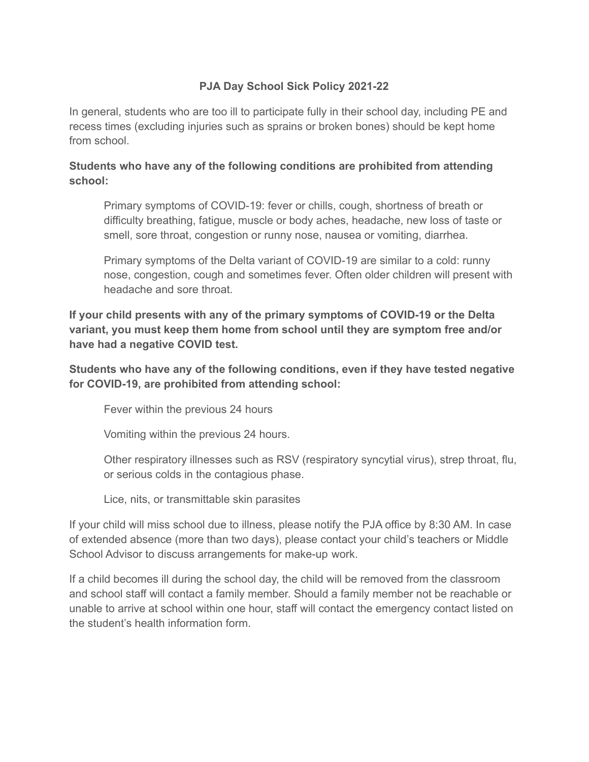## **PJA Day School Sick Policy 2021-22**

In general, students who are too ill to participate fully in their school day, including PE and recess times (excluding injuries such as sprains or broken bones) should be kept home from school.

## **Students who have any of the following conditions are prohibited from attending school:**

Primary symptoms of COVID-19: fever or chills, cough, shortness of breath or difficulty breathing, fatigue, muscle or body aches, headache, new loss of taste or smell, sore throat, congestion or runny nose, nausea or vomiting, diarrhea.

Primary symptoms of the Delta variant of COVID-19 are similar to a cold: runny nose, congestion, cough and sometimes fever. Often older children will present with headache and sore throat.

**If your child presents with any of the primary symptoms of COVID-19 or the Delta variant, you must keep them home from school until they are symptom free and/or have had a negative COVID test.**

**Students who have any of the following conditions, even if they have tested negative for COVID-19, are prohibited from attending school:**

Fever within the previous 24 hours

Vomiting within the previous 24 hours.

Other respiratory illnesses such as RSV (respiratory syncytial virus), strep throat, flu, or serious colds in the contagious phase.

Lice, nits, or transmittable skin parasites

If your child will miss school due to illness, please notify the PJA office by 8:30 AM. In case of extended absence (more than two days), please contact your child's teachers or Middle School Advisor to discuss arrangements for make-up work.

If a child becomes ill during the school day, the child will be removed from the classroom and school staff will contact a family member. Should a family member not be reachable or unable to arrive at school within one hour, staff will contact the emergency contact listed on the student's health information form.